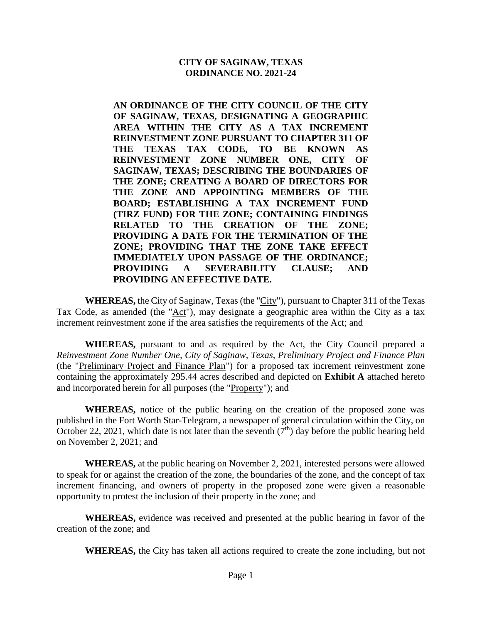#### **CITY OF SAGINAW, TEXAS ORDINANCE NO. 2021-24**

**AN ORDINANCE OF THE CITY COUNCIL OF THE CITY OF SAGINAW, TEXAS, DESIGNATING A GEOGRAPHIC AREA WITHIN THE CITY AS A TAX INCREMENT REINVESTMENT ZONE PURSUANT TO CHAPTER 311 OF THE TEXAS TAX CODE, TO BE KNOWN AS REINVESTMENT ZONE NUMBER ONE, CITY OF SAGINAW, TEXAS; DESCRIBING THE BOUNDARIES OF THE ZONE; CREATING A BOARD OF DIRECTORS FOR THE ZONE AND APPOINTING MEMBERS OF THE BOARD; ESTABLISHING A TAX INCREMENT FUND (TIRZ FUND) FOR THE ZONE; CONTAINING FINDINGS RELATED TO THE CREATION OF THE ZONE; PROVIDING A DATE FOR THE TERMINATION OF THE ZONE; PROVIDING THAT THE ZONE TAKE EFFECT IMMEDIATELY UPON PASSAGE OF THE ORDINANCE; PROVIDING A SEVERABILITY CLAUSE; AND PROVIDING AN EFFECTIVE DATE.**

**WHEREAS,** the City of Saginaw, Texas (the "City"), pursuant to Chapter 311 of the Texas Tax Code, as amended (the "Act"), may designate a geographic area within the City as a tax increment reinvestment zone if the area satisfies the requirements of the Act; and

**WHEREAS,** pursuant to and as required by the Act, the City Council prepared a *Reinvestment Zone Number One, City of Saginaw, Texas, Preliminary Project and Finance Plan* (the "Preliminary Project and Finance Plan") for a proposed tax increment reinvestment zone containing the approximately 295.44 acres described and depicted on **Exhibit A** attached hereto and incorporated herein for all purposes (the "Property"); and

**WHEREAS,** notice of the public hearing on the creation of the proposed zone was published in the Fort Worth Star-Telegram, a newspaper of general circulation within the City, on October 22, 2021, which date is not later than the seventh  $(7<sup>th</sup>)$  day before the public hearing held on November 2, 2021; and

**WHEREAS,** at the public hearing on November 2, 2021, interested persons were allowed to speak for or against the creation of the zone, the boundaries of the zone, and the concept of tax increment financing, and owners of property in the proposed zone were given a reasonable opportunity to protest the inclusion of their property in the zone; and

**WHEREAS,** evidence was received and presented at the public hearing in favor of the creation of the zone; and

**WHEREAS,** the City has taken all actions required to create the zone including, but not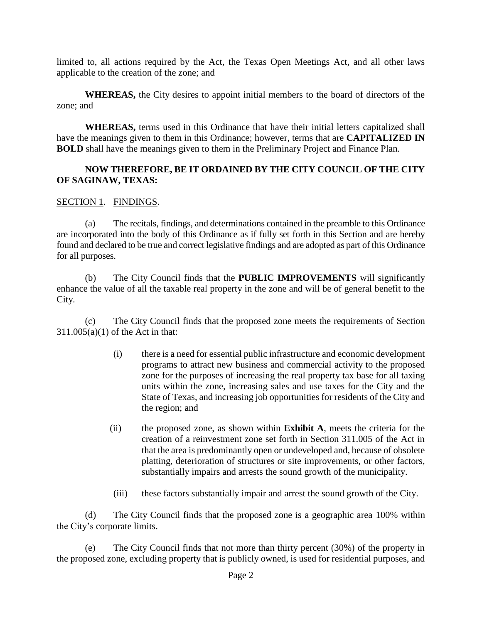limited to, all actions required by the Act, the Texas Open Meetings Act, and all other laws applicable to the creation of the zone; and

**WHEREAS,** the City desires to appoint initial members to the board of directors of the zone; and

**WHEREAS,** terms used in this Ordinance that have their initial letters capitalized shall have the meanings given to them in this Ordinance; however, terms that are **CAPITALIZED IN BOLD** shall have the meanings given to them in the Preliminary Project and Finance Plan.

#### **NOW THEREFORE, BE IT ORDAINED BY THE CITY COUNCIL OF THE CITY OF SAGINAW, TEXAS:**

#### SECTION 1. FINDINGS.

(a) The recitals, findings, and determinations contained in the preamble to this Ordinance are incorporated into the body of this Ordinance as if fully set forth in this Section and are hereby found and declared to be true and correct legislative findings and are adopted as part of this Ordinance for all purposes.

(b) The City Council finds that the **PUBLIC IMPROVEMENTS** will significantly enhance the value of all the taxable real property in the zone and will be of general benefit to the City.

(c) The City Council finds that the proposed zone meets the requirements of Section 311.005(a)(1) of the Act in that:

- (i) there is a need for essential public infrastructure and economic development programs to attract new business and commercial activity to the proposed zone for the purposes of increasing the real property tax base for all taxing units within the zone, increasing sales and use taxes for the City and the State of Texas, and increasing job opportunities for residents of the City and the region; and
- (ii) the proposed zone, as shown within **Exhibit A**, meets the criteria for the creation of a reinvestment zone set forth in Section 311.005 of the Act in that the area is predominantly open or undeveloped and, because of obsolete platting, deterioration of structures or site improvements, or other factors, substantially impairs and arrests the sound growth of the municipality.
- (iii) these factors substantially impair and arrest the sound growth of the City.

(d) The City Council finds that the proposed zone is a geographic area 100% within the City's corporate limits.

(e) The City Council finds that not more than thirty percent (30%) of the property in the proposed zone, excluding property that is publicly owned, is used for residential purposes, and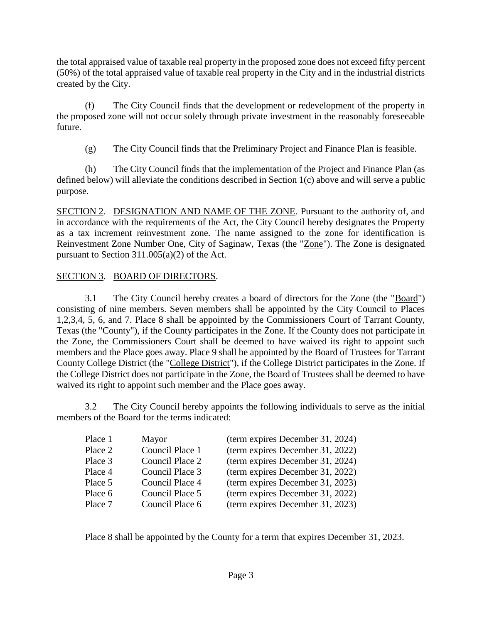the total appraised value of taxable real property in the proposed zone does not exceed fifty percent (50%) of the total appraised value of taxable real property in the City and in the industrial districts created by the City.

(f) The City Council finds that the development or redevelopment of the property in the proposed zone will not occur solely through private investment in the reasonably foreseeable future.

(g) The City Council finds that the Preliminary Project and Finance Plan is feasible.

(h) The City Council finds that the implementation of the Project and Finance Plan (as defined below) will alleviate the conditions described in Section 1(c) above and will serve a public purpose.

SECTION 2. DESIGNATION AND NAME OF THE ZONE. Pursuant to the authority of, and in accordance with the requirements of the Act, the City Council hereby designates the Property as a tax increment reinvestment zone. The name assigned to the zone for identification is Reinvestment Zone Number One, City of Saginaw, Texas (the "Zone"). The Zone is designated pursuant to Section 311.005(a)(2) of the Act.

### SECTION 3. BOARD OF DIRECTORS.

3.1 The City Council hereby creates a board of directors for the Zone (the "Board") consisting of nine members. Seven members shall be appointed by the City Council to Places 1,2,3,4, 5, 6, and 7. Place 8 shall be appointed by the Commissioners Court of Tarrant County, Texas (the "County"), if the County participates in the Zone. If the County does not participate in the Zone, the Commissioners Court shall be deemed to have waived its right to appoint such members and the Place goes away. Place 9 shall be appointed by the Board of Trustees for Tarrant County College District (the "College District"), if the College District participates in the Zone. If the College District does not participate in the Zone, the Board of Trustees shall be deemed to have waived its right to appoint such member and the Place goes away.

3.2 The City Council hereby appoints the following individuals to serve as the initial members of the Board for the terms indicated:

| Place 1 | Mayor           | (term expires December 31, 2024) |
|---------|-----------------|----------------------------------|
| Place 2 | Council Place 1 | (term expires December 31, 2022) |
| Place 3 | Council Place 2 | (term expires December 31, 2024) |
| Place 4 | Council Place 3 | (term expires December 31, 2022) |
| Place 5 | Council Place 4 | (term expires December 31, 2023) |
| Place 6 | Council Place 5 | (term expires December 31, 2022) |
| Place 7 | Council Place 6 | (term expires December 31, 2023) |

Place 8 shall be appointed by the County for a term that expires December 31, 2023.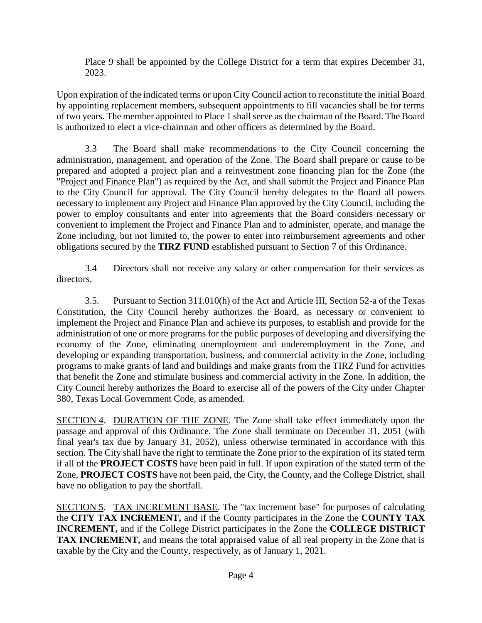Place 9 shall be appointed by the College District for a term that expires December 31, 2023.

Upon expiration of the indicated terms or upon City Council action to reconstitute the initial Board by appointing replacement members, subsequent appointments to fill vacancies shall be for terms of two years. The member appointed to Place 1 shall serve as the chairman of the Board. The Board is authorized to elect a vice-chairman and other officers as determined by the Board.

3.3 The Board shall make recommendations to the City Council concerning the administration, management, and operation of the Zone. The Board shall prepare or cause to be prepared and adopted a project plan and a reinvestment zone financing plan for the Zone (the "Project and Finance Plan") as required by the Act, and shall submit the Project and Finance Plan to the City Council for approval. The City Council hereby delegates to the Board all powers necessary to implement any Project and Finance Plan approved by the City Council, including the power to employ consultants and enter into agreements that the Board considers necessary or convenient to implement the Project and Finance Plan and to administer, operate, and manage the Zone including, but not limited to, the power to enter into reimbursement agreements and other obligations secured by the **TIRZ FUND** established pursuant to Section 7 of this Ordinance.

3.4 Directors shall not receive any salary or other compensation for their services as directors.

3.5. Pursuant to Section 311.010(h) of the Act and Article III, Section 52-a of the Texas Constitution, the City Council hereby authorizes the Board, as necessary or convenient to implement the Project and Finance Plan and achieve its purposes, to establish and provide for the administration of one or more programs for the public purposes of developing and diversifying the economy of the Zone, eliminating unemployment and underemployment in the Zone, and developing or expanding transportation, business, and commercial activity in the Zone, including programs to make grants of land and buildings and make grants from the TIRZ Fund for activities that benefit the Zone and stimulate business and commercial activity in the Zone. In addition, the City Council hereby authorizes the Board to exercise all of the powers of the City under Chapter 380, Texas Local Government Code, as amended.

SECTION 4. DURATION OF THE ZONE. The Zone shall take effect immediately upon the passage and approval of this Ordinance. The Zone shall terminate on December 31, 2051 (with final year's tax due by January 31, 2052), unless otherwise terminated in accordance with this section. The City shall have the right to terminate the Zone prior to the expiration of its stated term if all of the **PROJECT COSTS** have been paid in full. If upon expiration of the stated term of the Zone, **PROJECT COSTS** have not been paid, the City, the County, and the College District, shall have no obligation to pay the shortfall.

SECTION 5. TAX INCREMENT BASE. The "tax increment base" for purposes of calculating the **CITY TAX INCREMENT,** and if the County participates in the Zone the **COUNTY TAX INCREMENT,** and if the College District participates in the Zone the **COLLEGE DISTRICT TAX INCREMENT,** and means the total appraised value of all real property in the Zone that is taxable by the City and the County, respectively, as of January 1, 2021.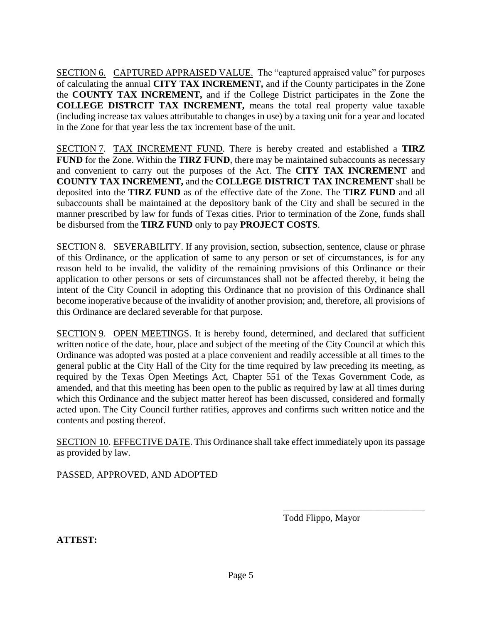SECTION 6. CAPTURED APPRAISED VALUE. The "captured appraised value" for purposes of calculating the annual **CITY TAX INCREMENT,** and if the County participates in the Zone the **COUNTY TAX INCREMENT,** and if the College District participates in the Zone the **COLLEGE DISTRCIT TAX INCREMENT,** means the total real property value taxable (including increase tax values attributable to changes in use) by a taxing unit for a year and located in the Zone for that year less the tax increment base of the unit.

SECTION 7. TAX INCREMENT FUND. There is hereby created and established a **TIRZ FUND** for the Zone. Within the **TIRZ FUND**, there may be maintained subaccounts as necessary and convenient to carry out the purposes of the Act. The **CITY TAX INCREMENT** and **COUNTY TAX INCREMENT,** and the **COLLEGE DISTRICT TAX INCREMENT** shall be deposited into the **TIRZ FUND** as of the effective date of the Zone. The **TIRZ FUND** and all subaccounts shall be maintained at the depository bank of the City and shall be secured in the manner prescribed by law for funds of Texas cities. Prior to termination of the Zone, funds shall be disbursed from the **TIRZ FUND** only to pay **PROJECT COSTS**.

SECTION 8. SEVERABILITY. If any provision, section, subsection, sentence, clause or phrase of this Ordinance, or the application of same to any person or set of circumstances, is for any reason held to be invalid, the validity of the remaining provisions of this Ordinance or their application to other persons or sets of circumstances shall not be affected thereby, it being the intent of the City Council in adopting this Ordinance that no provision of this Ordinance shall become inoperative because of the invalidity of another provision; and, therefore, all provisions of this Ordinance are declared severable for that purpose.

SECTION 9. OPEN MEETINGS. It is hereby found, determined, and declared that sufficient written notice of the date, hour, place and subject of the meeting of the City Council at which this Ordinance was adopted was posted at a place convenient and readily accessible at all times to the general public at the City Hall of the City for the time required by law preceding its meeting, as required by the Texas Open Meetings Act, Chapter 551 of the Texas Government Code, as amended, and that this meeting has been open to the public as required by law at all times during which this Ordinance and the subject matter hereof has been discussed, considered and formally acted upon. The City Council further ratifies, approves and confirms such written notice and the contents and posting thereof.

SECTION 10. EFFECTIVE DATE. This Ordinance shall take effect immediately upon its passage as provided by law.

PASSED, APPROVED, AND ADOPTED

Todd Flippo, Mayor

\_\_\_\_\_\_\_\_\_\_\_\_\_\_\_\_\_\_\_\_\_\_\_\_\_\_\_\_\_\_

**ATTEST:**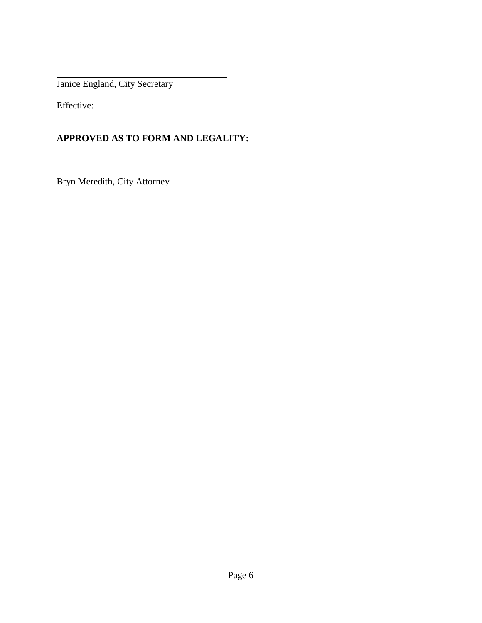Janice England, City Secretary

Effective:

### **APPROVED AS TO FORM AND LEGALITY:**

Bryn Meredith, City Attorney